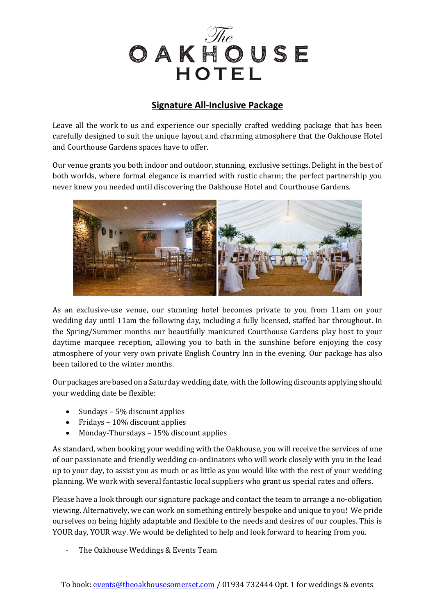

# **Signature All-Inclusive Package**

Leave all the work to us and experience our specially crafted wedding package that has been carefully designed to suit the unique layout and charming atmosphere that the Oakhouse Hotel and Courthouse Gardens spaces have to offer.

Our venue grants you both indoor and outdoor, stunning, exclusive settings. Delight in the best of both worlds, where formal elegance is married with rustic charm; the perfect partnership you never knew you needed until discovering the Oakhouse Hotel and Courthouse Gardens.



As an exclusive-use venue, our stunning hotel becomes private to you from 11am on your wedding day until 11am the following day, including a fully licensed, staffed bar throughout. In the Spring/Summer months our beautifully manicured Courthouse Gardens play host to your daytime marquee reception, allowing you to bath in the sunshine before enjoying the cosy atmosphere of your very own private English Country Inn in the evening. Our package has also been tailored to the winter months.

Our packages are based on a Saturday wedding date, with the following discounts applying should your wedding date be flexible:

- Sundays 5% discount applies
- Fridays 10% discount applies
- Monday-Thursdays 15% discount applies

As standard, when booking your wedding with the Oakhouse, you will receive the services of one of our passionate and friendly wedding co-ordinators who will work closely with you in the lead up to your day, to assist you as much or as little as you would like with the rest of your wedding planning. We work with several fantastic local suppliers who grant us special rates and offers.

Please have a look through our signature package and contact the team to arrange a no-obligation viewing. Alternatively, we can work on something entirely bespoke and unique to you! We pride ourselves on being highly adaptable and flexible to the needs and desires of our couples. This is YOUR day, YOUR way. We would be delighted to help and look forward to hearing from you.

The Oakhouse Weddings & Events Team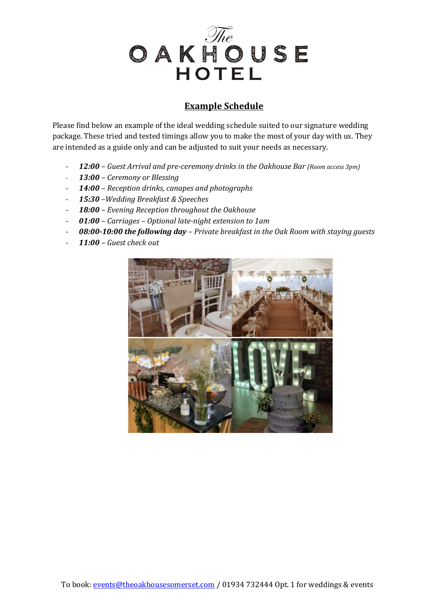

# **Example Schedule**

Please find below an example of the ideal wedding schedule suited to our signature wedding package. These tried and tested timings allow you to make the most of your day with us. They are intended as a guide only and can be adjusted to suit your needs as necessary.

- **12:00** Guest Arrival and pre-ceremony drinks in the Oakhouse Bar (Room access 3pm)
- *13:00 – Ceremony or Blessing*
- *14:00 – Reception drinks, canapes and photographs*
- *15:30 –Wedding Breakfast & Speeches*
- *18:00 – Evening Reception throughout the Oakhouse*
- *01:00 – Carriages – Optional late-night extension to 1am*
- *08:00-10:00 the following day – Private breakfast in the Oak Room with staying guests*
- *11:00 – Guest check out*

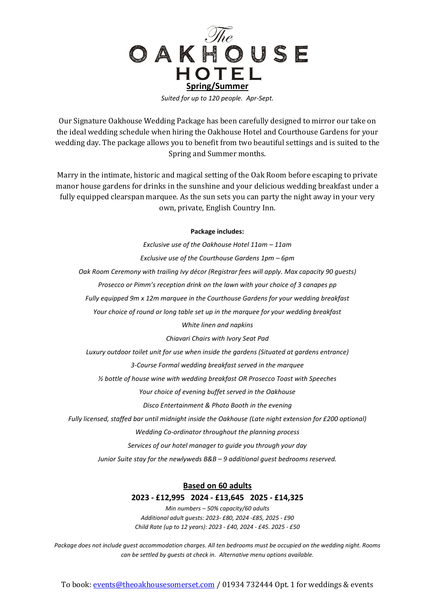

Our Signature Oakhouse Wedding Package has been carefully designed to mirror our take on the ideal wedding schedule when hiring the Oakhouse Hotel and Courthouse Gardens for your wedding day. The package allows you to benefit from two beautiful settings and is suited to the Spring and Summer months.

Marry in the intimate, historic and magical setting of the Oak Room before escaping to private manor house gardens for drinks in the sunshine and your delicious wedding breakfast under a fully equipped clearspan marquee. As the sun sets you can party the night away in your very own, private, English Country Inn.

#### **Package includes:**

*Exclusive use of the Oakhouse Hotel 11am – 11am Exclusive use of the Courthouse Gardens 1pm – 6pm Oak Room Ceremony with trailing Ivy décor (Registrar fees will apply. Max capacity 90 guests) Prosecco or Pimm's reception drink on the lawn with your choice of 3 canapes pp Fully equipped 9m x 12m marquee in the Courthouse Gardens for your wedding breakfast Your choice of round or long table set up in the marquee for your wedding breakfast White linen and napkins Chiavari Chairs with Ivory Seat Pad Luxury outdoor toilet unit for use when inside the gardens (Situated at gardens entrance) 3-Course Formal wedding breakfast served in the marquee ½ bottle of house wine with wedding breakfast OR Prosecco Toast with Speeches Your choice of evening buffet served in the Oakhouse Disco Entertainment & Photo Booth in the evening Fully licensed, staffed bar until midnight inside the Oakhouse (Late night extension for £200 optional) Wedding Co-ordinator throughout the planning process Services of our hotel manager to guide you through your day Junior Suite stay for the newlyweds B&B – 9 additional guest bedrooms reserved.* **Based on 60 adults 2023 - £12,995 2024 - £13,645 2025 - £14,325**

> *Min numbers – 50% capacity/60 adults Additional adult guests: 2023- £80, 2024 -£85, 2025 - £90 Child Rate (up to 12 years): 2023 - £40, 2024 - £45. 2025 - £50*

*Package does not include guest accommodation charges. All ten bedrooms must be occupied on the wedding night. Rooms can be settled by guests at check in. Alternative menu options available.* 

To book[: events@theoakhousesomerset.com](mailto:events@theoakhousesomerset.com) / 01934 732444 Opt. 1 for weddings & events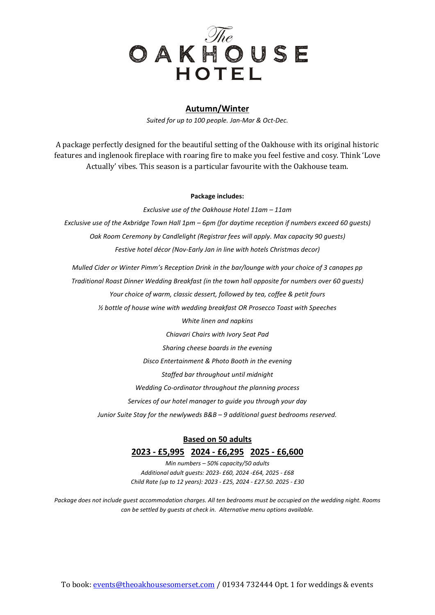

### **Autumn/Winter**

*Suited for up to 100 people. Jan-Mar & Oct-Dec.* 

A package perfectly designed for the beautiful setting of the Oakhouse with its original historic features and inglenook fireplace with roaring fire to make you feel festive and cosy. Think 'Love Actually' vibes. This season is a particular favourite with the Oakhouse team.

#### **Package includes:**

*Exclusive use of the Oakhouse Hotel 11am – 11am Exclusive use of the Axbridge Town Hall 1pm – 6pm (for daytime reception if numbers exceed 60 guests) Oak Room Ceremony by Candlelight (Registrar fees will apply. Max capacity 90 guests) Festive hotel décor (Nov-Early Jan in line with hotels Christmas decor)* 

*Mulled Cider or Winter Pimm's Reception Drink in the bar/lounge with your choice of 3 canapes pp Traditional Roast Dinner Wedding Breakfast (in the town hall opposite for numbers over 60 guests) Your choice of warm, classic dessert, followed by tea, coffee & petit fours ½ bottle of house wine with wedding breakfast OR Prosecco Toast with Speeches* 

*White linen and napkins Chiavari Chairs with Ivory Seat Pad Sharing cheese boards in the evening Disco Entertainment & Photo Booth in the evening Staffed bar throughout until midnight Wedding Co-ordinator throughout the planning process Services of our hotel manager to guide you through your day Junior Suite Stay for the newlyweds B&B – 9 additional guest bedrooms reserved.*

### **Based on 50 adults**

### **2023 - £5,995 2024 - £6,295 2025 - £6,600**

*Min numbers – 50% capacity/50 adults Additional adult guests: 2023- £60, 2024 -£64, 2025 - £68 Child Rate (up to 12 years): 2023 - £25, 2024 - £27.50. 2025 - £30*

*Package does not include guest accommodation charges. All ten bedrooms must be occupied on the wedding night. Rooms can be settled by guests at check in. Alternative menu options available.*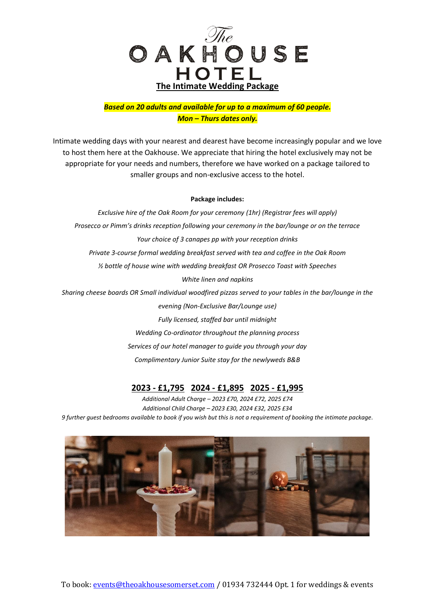

### *Based on 20 adults and available for up to a maximum of 60 people. Mon – Thurs dates only.*

Intimate wedding days with your nearest and dearest have become increasingly popular and we love to host them here at the Oakhouse. We appreciate that hiring the hotel exclusively may not be appropriate for your needs and numbers, therefore we have worked on a package tailored to smaller groups and non-exclusive access to the hotel.

#### **Package includes:**

*Exclusive hire of the Oak Room for your ceremony (1hr) (Registrar fees will apply) Prosecco or Pimm's drinks reception following your ceremony in the bar/lounge or on the terrace Your choice of 3 canapes pp with your reception drinks Private 3-course formal wedding breakfast served with tea and coffee in the Oak Room ½ bottle of house wine with wedding breakfast OR Prosecco Toast with Speeches White linen and napkins Sharing cheese boards OR Small individual woodfired pizzas served to your tables in the bar/lounge in the evening (Non-Exclusive Bar/Lounge use) Fully licensed, staffed bar until midnight Wedding Co-ordinator throughout the planning process Services of our hotel manager to guide you through your day* 

*Complimentary Junior Suite stay for the newlyweds B&B* 

## **2023 - £1,795 2024 - £1,895 2025 - £1,995**

*Additional Adult Charge – 2023 £70, 2024 £72, 2025 £74 Additional Child Charge – 2023 £30, 2024 £32, 2025 £34 9 further guest bedrooms available to book if you wish but this is not a requirement of booking the intimate package.*